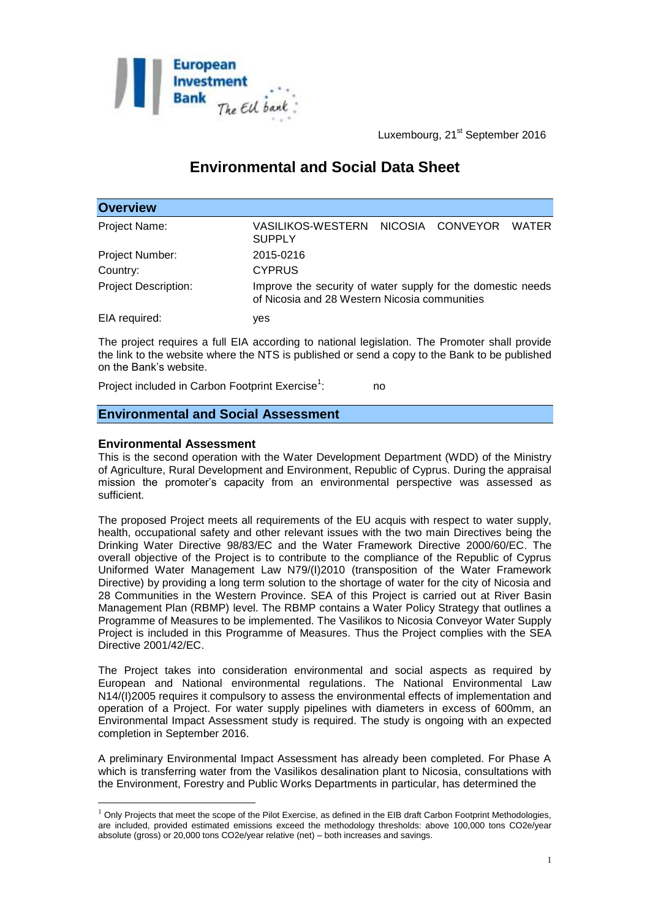

Luxembourg, 21<sup>st</sup> September 2016

# **Environmental and Social Data Sheet**

| <b>Overview</b>             |                                                                                                              |
|-----------------------------|--------------------------------------------------------------------------------------------------------------|
| Project Name:               | VASILIKOS-WESTERN NICOSIA CONVEYOR<br><b>WATER</b><br><b>SUPPLY</b>                                          |
| Project Number:             | 2015-0216                                                                                                    |
| Country:                    | <b>CYPRUS</b>                                                                                                |
| <b>Project Description:</b> | Improve the security of water supply for the domestic needs<br>of Nicosia and 28 Western Nicosia communities |
| EIA required:               | yes                                                                                                          |

The project requires a full EIA according to national legislation. The Promoter shall provide the link to the website where the NTS is published or send a copy to the Bank to be published on the Bank's website.

Project included in Carbon Footprint Exercise<sup>1</sup>: : no

# **Environmental and Social Assessment**

#### **Environmental Assessment**

1

This is the second operation with the Water Development Department (WDD) of the Ministry of Agriculture, Rural Development and Environment, Republic of Cyprus. During the appraisal mission the promoter's capacity from an environmental perspective was assessed as sufficient.

The proposed Project meets all requirements of the EU acquis with respect to water supply, health, occupational safety and other relevant issues with the two main Directives being the Drinking Water Directive 98/83/EC and the Water Framework Directive 2000/60/EC. The overall objective of the Project is to contribute to the compliance of the Republic of Cyprus Uniformed Water Management Law N79/(I)2010 (transposition of the Water Framework Directive) by providing a long term solution to the shortage of water for the city of Nicosia and 28 Communities in the Western Province. SEA of this Project is carried out at River Basin Management Plan (RBMP) level. The RBMP contains a Water Policy Strategy that outlines a Programme of Measures to be implemented. The Vasilikos to Nicosia Conveyor Water Supply Project is included in this Programme of Measures. Thus the Project complies with the SEA Directive 2001/42/EC.

The Project takes into consideration environmental and social aspects as required by European and National environmental regulations. The National Environmental Law N14/(I)2005 requires it compulsory to assess the environmental effects of implementation and operation of a Project. For water supply pipelines with diameters in excess of 600mm, an Environmental Impact Assessment study is required. The study is ongoing with an expected completion in September 2016.

A preliminary Environmental Impact Assessment has already been completed. For Phase A which is transferring water from the Vasilikos desalination plant to Nicosia, consultations with the Environment, Forestry and Public Works Departments in particular, has determined the

 $1$  Only Projects that meet the scope of the Pilot Exercise, as defined in the EIB draft Carbon Footprint Methodologies, are included, provided estimated emissions exceed the methodology thresholds: above 100,000 tons CO2e/year absolute (gross) or 20,000 tons CO2e/year relative (net) – both increases and savings.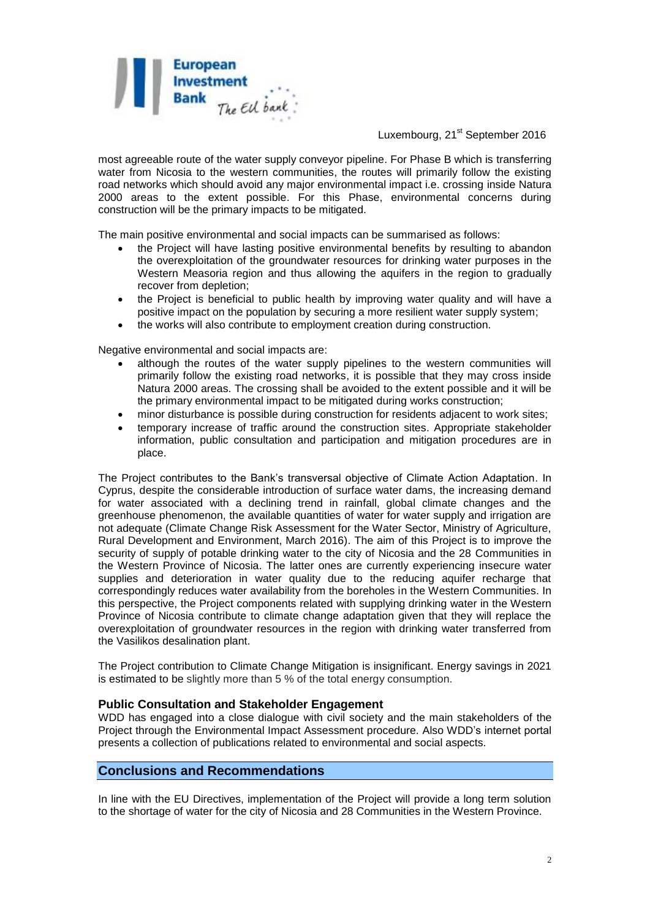

Luxembourg, 21<sup>st</sup> September 2016

most agreeable route of the water supply conveyor pipeline. For Phase B which is transferring water from Nicosia to the western communities, the routes will primarily follow the existing road networks which should avoid any major environmental impact i.e. crossing inside Natura 2000 areas to the extent possible. For this Phase, environmental concerns during construction will be the primary impacts to be mitigated.

The main positive environmental and social impacts can be summarised as follows:

- the Project will have lasting positive environmental benefits by resulting to abandon the overexploitation of the groundwater resources for drinking water purposes in the Western Measoria region and thus allowing the aquifers in the region to gradually recover from depletion;
- the Project is beneficial to public health by improving water quality and will have a positive impact on the population by securing a more resilient water supply system;
- the works will also contribute to employment creation during construction.

Negative environmental and social impacts are:

- although the routes of the water supply pipelines to the western communities will primarily follow the existing road networks, it is possible that they may cross inside Natura 2000 areas. The crossing shall be avoided to the extent possible and it will be the primary environmental impact to be mitigated during works construction;
- minor disturbance is possible during construction for residents adjacent to work sites;
- temporary increase of traffic around the construction sites. Appropriate stakeholder information, public consultation and participation and mitigation procedures are in place.

The Project contributes to the Bank's transversal objective of Climate Action Adaptation. In Cyprus, despite the considerable introduction of surface water dams, the increasing demand for water associated with a declining trend in rainfall, global climate changes and the greenhouse phenomenon, the available quantities of water for water supply and irrigation are not adequate (Climate Change Risk Assessment for the Water Sector, Ministry of Agriculture, Rural Development and Environment, March 2016). The aim of this Project is to improve the security of supply of potable drinking water to the city of Nicosia and the 28 Communities in the Western Province of Nicosia. The latter ones are currently experiencing insecure water supplies and deterioration in water quality due to the reducing aquifer recharge that correspondingly reduces water availability from the boreholes in the Western Communities. In this perspective, the Project components related with supplying drinking water in the Western Province of Nicosia contribute to climate change adaptation given that they will replace the overexploitation of groundwater resources in the region with drinking water transferred from the Vasilikos desalination plant.

The Project contribution to Climate Change Mitigation is insignificant. Energy savings in 2021 is estimated to be slightly more than 5 % of the total energy consumption.

## **Public Consultation and Stakeholder Engagement**

WDD has engaged into a close dialogue with civil society and the main stakeholders of the Project through the Environmental Impact Assessment procedure. Also WDD's internet portal presents a collection of publications related to environmental and social aspects.

### **Conclusions and Recommendations**

In line with the EU Directives, implementation of the Project will provide a long term solution to the shortage of water for the city of Nicosia and 28 Communities in the Western Province.